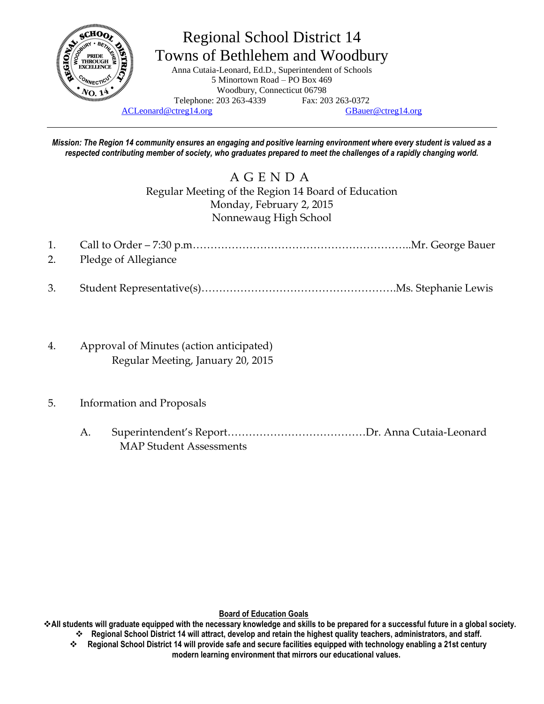

# Regional School District 14 Towns of Bethlehem and Woodbury

Anna Cutaia-Leonard, Ed.D., Superintendent of Schools 5 Minortown Road – PO Box 469 Woodbury, Connecticut 06798 Telephone: 203 263-4339 Fax: 203 263-0372

[ACLeonard@ctreg14.org](mailto:ACLeonard@ctreg14.org) [GBauer@ctreg14.org](mailto:GBauer@ctreg14.org)

*Mission: The Region 14 community ensures an engaging and positive learning environment where every student is valued as a respected contributing member of society, who graduates prepared to meet the challenges of a rapidly changing world.*

> A G E N D A Regular Meeting of the Region 14 Board of Education Monday, February 2, 2015 Nonnewaug High School

| 2. Pledge of Allegiance |  |
|-------------------------|--|

- 3. Student Representative(s)……………………………………………….Ms. Stephanie Lewis
- 4. Approval of Minutes (action anticipated) Regular Meeting, January 20, 2015
- 5. Information and Proposals
	- A. Superintendent's Report…………………………………Dr. Anna Cutaia-Leonard MAP Student Assessments

**Board of Education Goals**

**All students will graduate equipped with the necessary knowledge and skills to be prepared for a successful future in a global society. Regional School District 14 will attract, develop and retain the highest quality teachers, administrators, and staff.**

 **Regional School District 14 will provide safe and secure facilities equipped with technology enabling a 21st century modern learning environment that mirrors our educational values.**